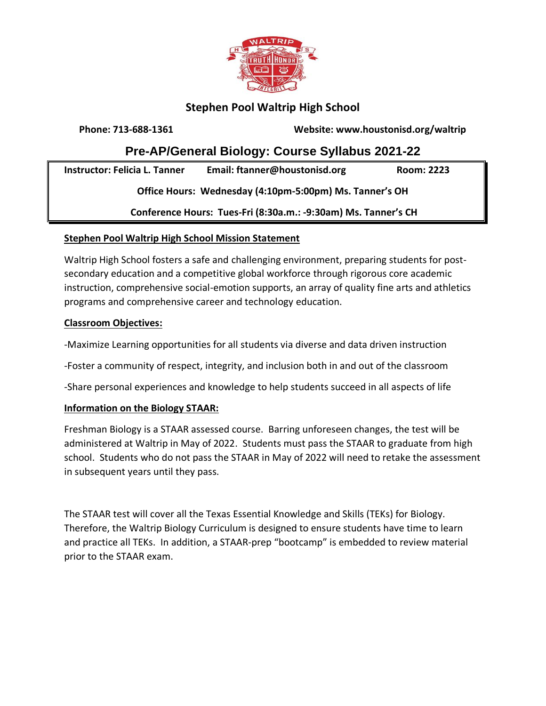

# **Stephen Pool Waltrip High School**

**Phone: 713-688-1361 Website: www.houstonisd.org/waltrip**

# **Pre-AP/General Biology: Course Syllabus 2021-22**

**Instructor: Felicia L. Tanner Email: ftanner@houstonisd.org Room: 2223 Office Hours: Wednesday (4:10pm-5:00pm) Ms. Tanner's OH Conference Hours: Tues-Fri (8:30a.m.: -9:30am) Ms. Tanner's CH**

# **Stephen Pool Waltrip High School Mission Statement**

Waltrip High School fosters a safe and challenging environment, preparing students for postsecondary education and a competitive global workforce through rigorous core academic instruction, comprehensive social-emotion supports, an array of quality fine arts and athletics programs and comprehensive career and technology education.

#### **Classroom Objectives:**

-Maximize Learning opportunities for all students via diverse and data driven instruction

-Foster a community of respect, integrity, and inclusion both in and out of the classroom

-Share personal experiences and knowledge to help students succeed in all aspects of life

# **Information on the Biology STAAR:**

Freshman Biology is a STAAR assessed course. Barring unforeseen changes, the test will be administered at Waltrip in May of 2022. Students must pass the STAAR to graduate from high school. Students who do not pass the STAAR in May of 2022 will need to retake the assessment in subsequent years until they pass.

The STAAR test will cover all the Texas Essential Knowledge and Skills (TEKs) for Biology. Therefore, the Waltrip Biology Curriculum is designed to ensure students have time to learn and practice all TEKs. In addition, a STAAR-prep "bootcamp" is embedded to review material prior to the STAAR exam.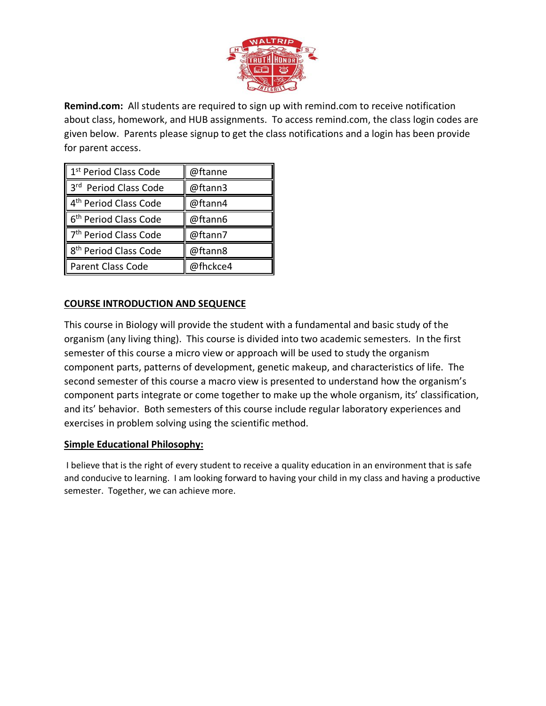

**Remind.com:** All students are required to sign up with remind.com to receive notification about class, homework, and HUB assignments. To access remind.com, the class login codes are given below. Parents please signup to get the class notifications and a login has been provide for parent access.

| 1 <sup>st</sup> Period Class Code | @ftanne  |
|-----------------------------------|----------|
| 3rd Period Class Code             | @ftann3  |
| 4 <sup>th</sup> Period Class Code | @ftann4  |
| 6 <sup>th</sup> Period Class Code | @ftann6  |
| 7 <sup>th</sup> Period Class Code | @ftann7  |
| 8 <sup>th</sup> Period Class Code | @ftann8  |
| Parent Class Code                 | @fhckce4 |

# **COURSE INTRODUCTION AND SEQUENCE**

This course in Biology will provide the student with a fundamental and basic study of the organism (any living thing). This course is divided into two academic semesters. In the first semester of this course a micro view or approach will be used to study the organism component parts, patterns of development, genetic makeup, and characteristics of life. The second semester of this course a macro view is presented to understand how the organism's component parts integrate or come together to make up the whole organism, its' classification, and its' behavior. Both semesters of this course include regular laboratory experiences and exercises in problem solving using the scientific method.

#### **Simple Educational Philosophy:**

I believe that is the right of every student to receive a quality education in an environment that is safe and conducive to learning. I am looking forward to having your child in my class and having a productive semester. Together, we can achieve more.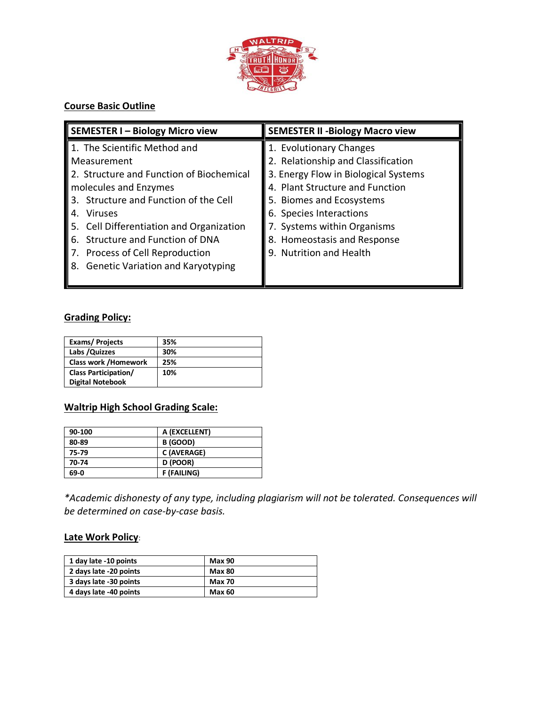

# **Course Basic Outline**

| SEMESTER I - Biology Micro view          | <b>SEMESTER II - Biology Macro view</b> |
|------------------------------------------|-----------------------------------------|
| 1. The Scientific Method and             | 1. Evolutionary Changes                 |
| Measurement                              | 2. Relationship and Classification      |
| 2. Structure and Function of Biochemical | 3. Energy Flow in Biological Systems    |
| molecules and Enzymes                    | 4. Plant Structure and Function         |
| 3. Structure and Function of the Cell    | 5. Biomes and Ecosystems                |
| Viruses<br>4.                            | 6. Species Interactions                 |
| 5. Cell Differentiation and Organization | 7. Systems within Organisms             |
| 6. Structure and Function of DNA         | 8. Homeostasis and Response             |
| 7. Process of Cell Reproduction          | 9. Nutrition and Health                 |
| 8. Genetic Variation and Karyotyping     |                                         |
|                                          |                                         |

# **Grading Policy:**

| <b>Exams/Projects</b>       | 35% |
|-----------------------------|-----|
| Labs / Quizzes              | 30% |
| <b>Class work /Homework</b> | 25% |
| <b>Class Participation/</b> | 10% |
| <b>Digital Notebook</b>     |     |

#### **Waltrip High School Grading Scale:**

| A (EXCELLENT)      |
|--------------------|
| B (GOOD)           |
| C (AVERAGE)        |
| D (POOR)           |
| <b>F (FAILING)</b> |
|                    |

*\*Academic dishonesty of any type, including plagiarism will not be tolerated. Consequences will be determined on case-by-case basis.* 

#### **Late Work Policy**:

| 1 day late -10 points  | <b>Max 90</b> |
|------------------------|---------------|
| 2 days late -20 points | <b>Max 80</b> |
| 3 days late -30 points | <b>Max 70</b> |
| 4 days late -40 points | <b>Max 60</b> |